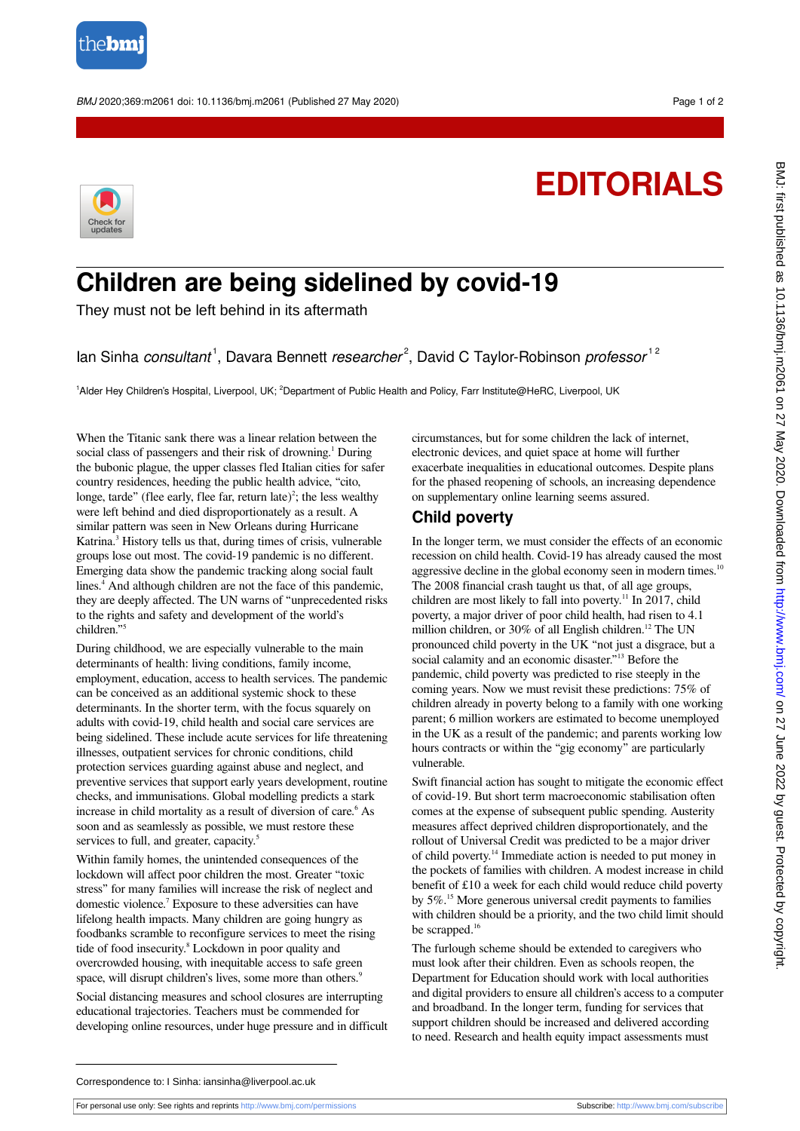

BMJ 2020;369:m2061 doi: 10.1136/bmj.m2061 (Published 27 May 2020) example to the control of 2

## **EDITORIALS**



## **Children are being sidelined by covid-19**

They must not be left behind in its aftermath

Ian Sinha consultant<sup>1</sup>, Davara Bennett researcher<sup>2</sup>, David C Taylor-Robinson professor<sup>12</sup>

1Alder Hey Children's Hospital, Liverpool, UK; <sup>2</sup>Department of Public Health and Policy, Farr Institute@HeRC, Liverpool, UK

When the Titanic sank there was a linear relation between the social class of passengers and their risk of drowning.<sup>1</sup> During the bubonic plague, the upper classes fled Italian cities for safer country residences, heeding the public health advice, "cito, longe, tarde" (flee early, flee far, return late)<sup>2</sup>; the less wealthy were left behind and died disproportionately as a result. A similar pattern was seen in New Orleans during Hurricane Katrina.<sup>3</sup> History tells us that, during times of crisis, vulnerable groups lose out most. The covid-19 pandemic is no different. Emerging data show the pandemic tracking along social fault lines.<sup>4</sup> And although children are not the face of this pandemic, they are deeply affected. The UN warns of "unprecedented risks to the rights and safety and development of the world's children." 5

During childhood, we are especially vulnerable to the main determinants of health: living conditions, family income, employment, education, access to health services. The pandemic can be conceived as an additional systemic shock to these determinants. In the shorter term, with the focus squarely on adults with covid-19, child health and social care services are being sidelined. These include acute services for life threatening illnesses, outpatient services for chronic conditions, child protection services guarding against abuse and neglect, and preventive services that support early years development, routine checks, and immunisations. Global modelling predicts a stark increase in child mortality as a result of diversion of care.<sup>6</sup> As soon and as seamlessly as possible, we must restore these services to full, and greater, capacity.<sup>5</sup>

Within family homes, the unintended consequences of the lockdown will affect poor children the most. Greater "toxic stress" for many families will increase the risk of neglect and domestic violence.<sup>7</sup> Exposure to these adversities can have lifelong health impacts. Many children are going hungry as foodbanks scramble to reconfigure services to meet the rising tide of food insecurity.<sup>8</sup> Lockdown in poor quality and overcrowded housing, with inequitable access to safe green space, will disrupt children's lives, some more than others.<sup>9</sup>

Social distancing measures and school closures are interrupting educational trajectories. Teachers must be commended for developing online resources, under huge pressure and in difficult circumstances, but for some children the lack of internet, electronic devices, and quiet space at home will further exacerbate inequalities in educational outcomes. Despite plans for the phased reopening of schools, an increasing dependence on supplementary online learning seems assured.

## **Child poverty**

In the longer term, we must consider the effects of an economic recession on child health. Covid-19 has already caused the most aggressive decline in the global economy seen in modern times.<sup>10</sup> The 2008 financial crash taught us that, of all age groups, children are most likely to fall into poverty.<sup>11</sup> In 2017, child poverty, a major driver of poor child health, had risen to 4.1 million children, or 30% of all English children.<sup>12</sup> The UN pronounced child poverty in the UK "not just a disgrace, but a social calamity and an economic disaster."<sup>13</sup> Before the pandemic, child poverty was predicted to rise steeply in the coming years. Now we must revisit these predictions: 75% of children already in poverty belong to a family with one working parent; 6 million workers are estimated to become unemployed in the UK as a result of the pandemic; and parents working low hours contracts or within the "gig economy" are particularly vulnerable.

Swift financial action has sought to mitigate the economic effect of covid-19. But short term macroeconomic stabilisation often comes at the expense of subsequent public spending. Austerity measures affect deprived children disproportionately, and the rollout of Universal Credit was predicted to be a major driver of child poverty.<sup>14</sup> Immediate action is needed to put money in the pockets of families with children. A modest increase in child benefit of £10 a week for each child would reduce child poverty by 5%.<sup>15</sup> More generous universal credit payments to families with children should be a priority, and the two child limit should be scrapped.<sup>16</sup>

The furlough scheme should be extended to caregivers who must look after their children. Even as schools reopen, the Department for Education should work with local authorities and digital providers to ensure all children's access to a computer and broadband. In the longer term, funding for services that support children should be increased and delivered according to need. Research and health equity impact assessments must